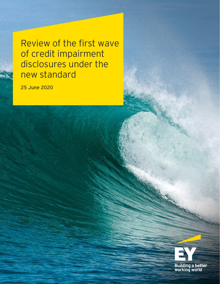Review of the first wave of credit impairment disclosures under the new standard

**25 June 2020**

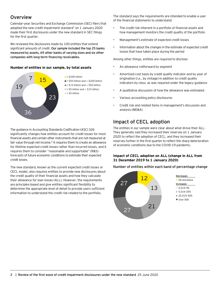# Overview

Calendar-year Securities and Exchange Commission (SEC) filers that adopted the new credit impairment standard<sup>1</sup> on  $1$  January 2020 made their first disclosures under the new standard in SEC filings for the first quarter.

We reviewed the disclosures made by 100 entities that extend significant amounts of credit. **Our sample included the top 25 banks measured by assets, 69 other banks of varying sizes and six other companies with long-term financing receivables.**

# **Number of entities in our sample, by total assets**

The guidance in Accounting Standards Codification (ASC) 326 significantly changes how entities account for credit losses for most financial assets and certain other instruments that are not measured at fair value through net income.<sup>2</sup> It requires them to create an allowance for lifetime expected credit losses rather than incurred losses, and it requires them to consider "reasonable and supportable" (R&S) forecasts of future economic conditions to estimate their expected

The new standard, known as the current expected credit losses or CECL model, also requires entities to provide new disclosures about the credit quality of their financial assets and how they calculate their allowance for loan losses (ALL). However, the requirements are principles-based and give entities significant flexibility to determine the appropriate level of detail to provide users sufficient information to understand the credit risk related to the portfolio.



credit losses.

■> \$15 billion and ≤ \$50 billion ■> \$5 billion and ≤ \$15 billion

≤ \$5 billion

The standard says the requirements are intended to enable a user of the financial statements to understand:

- The credit risk inherent in a portfolio of financial assets and how management monitors the credit quality of the portfolio
- Management's estimate of expected credit losses
- Information about the changes in the estimate of expected credit losses that have taken place during the period

Among other things, entities are required to disclose:

- An allowance rollforward by segment
- Amortized cost basis by credit quality indicator and by year of origination (i.e., by vintage) in addition to credit quality indicators by class, as was required under the legacy guidance
- A qualitative discussion of how the allowance was estimated
- Various accounting policy disclosures
- Credit risk and related items in management's discussion and analysis (MD&A)

# Impact of CECL adoption

The entities in our sample were clear about what drove their ALL. They generally said they increased their reserves on 1 January 2020 to reflect the adoption of CECL, and they increased their reserves further in the first quarter to reflect the sharp deterioration of economic conditions due to the COVID-19 pandemic.

# **Impact of CECL adoption on ALL (change in ALL from 31 December 2019 to 1 January 2020)**

**Number of entities within each band of percentage change**

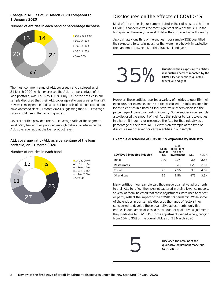# **Change in ALL as of 31 March 2020 compared to 1 January 2020**

## **Number of entities in each band of percentage increase**



The most common range of ALL coverage ratio disclosed as of 31 March 2020, which expresses the ALL as a percentage of the loan portfolio, was 1.51% to 1.75%. Only 13% of the entities in our sample disclosed that their ALL coverage ratio was greater than 2%. However, many entities indicated that forecasts of economic conditions have worsened since 31 March 2020, suggesting that ALL coverage

# Disclosures on the effects of COVID-19

Most of the entities in our sample stated in their disclosures that the COVID-19 pandemic was the most significant driver of the ALL in the first quarter. However, the level of detail they provided varied by entity.

Approximately one third of the entities in our sample (35%) quantified their exposure to certain industries that were more heavily impacted by the pandemic (e.g., retail, hotels, travel, oil and gas).



**Quantified their exposure to entities in industries heavily impacted by the** 

However, those entities reported a variety of metrics to quantify their exposure. For example, some entities disclosed the total balance for loans to entities in a hard-hit industry, while others disclosed the percentage of loans to a hard-hit industry. Some entities in our sample also disclosed the amount of their ALL that relates to loans to entities in a hard-hit industry or presented the ALL for that industry as a percentage of their total ALL. Below is an example of the type of disclosure we observed for certain entities in our sample.

# **ALL coverage ratio (ALL as a percentage of the loan portfolio) on 31 March 2020**

Several entities provided the ALL coverage ratio at the segment level. Very few entities provided enough details to determine the

### **Number of entities in each band**

ratios could rise in the second quarter.

ALL coverage ratio at the loan product level.



# **Example disclosure of COVID-19 exposure by industry**

| COVID-19 impacted industry | Loan<br>balance<br>o/s | $%$ of<br>total loans<br>held for<br>investment | ALL  | ALL % |
|----------------------------|------------------------|-------------------------------------------------|------|-------|
| Retail                     | 100                    | 10%                                             | 3.5  | 3.5%  |
| Restaurants                | 50                     | 5%                                              | 1.25 | 2.5%  |
| Travel                     | 75                     | 7.5%                                            | 3.0  | 4.0%  |
| Oil and gas                | 25                     | 25%                                             | .875 | 3.5%  |

Many entities in our sample said they made qualitative adjustments to their ALL to reflect the risks not captured in their allowance models. Several of them indicated that these adjustments were used to reflect or partly reflect the impact of the COVID-19 pandemic. While some of the entities in our sample disclosed the types of factors they considered to develop those qualitative adjustments, only five entities in our sample disclosed the amount of qualitative adjustments they made due to COVID-19. Those adjustments varied widely, ranging from 10% to 35% of the overall ALL as of 31 March 2020.

**Disclosed the amount of the**  Disclosed the amount of the<br>qualitative adjustment made due<br>to COVID-19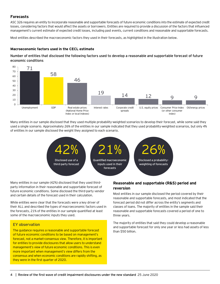# **Forecasts**

ASC 326 requires an entity to incorporate reasonable and supportable forecasts of future economic conditions into the estimate of expected credit losses, considering factors that would affect the assets or borrowers. Entities are required to provide a discussion of the factors that influenced management's current estimate of expected credit losses, including past events, current conditions and reasonable and supportable forecasts.

Most entities described the macroeconomic factors they used in their forecasts, as highlighted in the illustration below.

#### **Macroeconomic factors used in the CECL estimate**

**Number of entities that disclosed the following factors used to develop a reasonable and supportable forecast of future economic conditions**



Many entities in our sample disclosed that they used multiple probability-weighted scenarios to develop their forecast, while some said they used a single scenario. Approximately 26% of the entities in our sample indicated that they used probability-weighted scenarios, but only 4% of entities in our sample disclosed the weight they assigned to each scenario.



Many entities in our sample (42%) disclosed that they used thirdparty information in their reasonable and supportable forecast of future economic conditions. Some disclosed the third-party vendor and certain details of the forecast used in their calculation.

While entities were clear that the forecasts were a key driver of their ALL and described the types of macroeconomic factors used in the forecasts, 21% of the entities in our sample quantified at least some of the macroeconomic inputs they used.

### EY observation

The guidance requires a reasonable and supportable forecast of future economic conditions to be based on management's forecast, not a market-consensus view. Therefore, it is important for entities to provide disclosures that allow users to understand management's view of future economic conditions. This is even more important when management's view differs from the consensus and when economic conditions are rapidly shifting, as they were in the first quarter of 2020.

# **Reasonable and supportable (R&S) period and reversion**

Most entities in our sample disclosed the period covered by their reasonable and supportable forecasts, and most indicated that the forecast period did not differ across the entity's segments and classes of loans. The majority of entities in the sample said their reasonable and supportable forecasts covered a period of one to three years.

The majority of entities that said they could develop a reasonable and supportable forecast for only one year or less had assets of less than \$50 billion.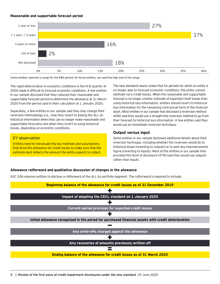#### **Reasonable and supportable forecast period**



Some entities reported a range for the R&S period; for those entities, we used the high end of the range.

The rapid deterioration in economic conditions in the first quarter of 2020 made it difficult to forecast economic conditions. A few entities in our sample disclosed that they reduced their reasonable and supportable forecast period to determine the allowance at 31 March 2020 from the period used in their calculation at 1 January 2020.

Separately, a few entities in our sample said they may change their reversion methodology (i.e., how they revert to basing the ALL on historical information when they can no longer make reasonable and supportable forecasts) and when they revert to using historical losses, depending on economic conditions.

#### EY observation

Entities need to reevaluate the key methods and assumptions that drive the allowance for credit losses to make sure that the estimate best reflects the amount the entity expects to collect. The new standard clearly states that for periods for which an entity is no longer able to forecast economic conditions, the entity cannot estimate zero credit losses. When the reasonable and supportable forecast is no longer a better estimate of expected credit losses than using historical loss information, entities should revert to historical loss information for the remaining contractual term of the financial asset. Most entities in our sample that disclosed a reversion method (64%) said they would use a straight-line reversion method to go from their forecast to historical loss information. A few entities said they would use an immediate reversion technique.

# **Output versus input**

Some entities in our sample disclosed additional details about their reversion technique, including whether the reversion would be to historical losses (reverting to outputs) or to each key macroeconomic figure (reverting to inputs). Most of the entities in our sample that provided this level of disclosure (57%) said they would use outputs rather than inputs.

#### **Allowance rollforward and qualitative discussion of changes in the allowance**

ASC 326 requires entities to disclose a rollforward of the ALL by portfolio segment. The rollforward is required to include:

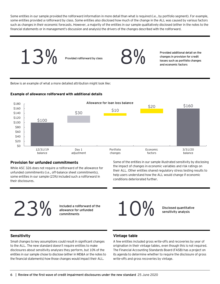Some entities in our sample provided the rollforward information in more detail than what is required (i.e., by portfolio segment). For example, some entities provided a rollforward by class. Some entities also disclosed how much of the change in the ALL was caused by various factors such as changes in their economic forecasts. However, a majority of the entities in our sample qualitatively disclosed (either in the notes to the financial statements or in management's discussion and analysis) the drivers of the changes described with the rollforward.



Below is an example of what a more detailed attribution might look like:

### **Example of allowance rollforward with additional details**



### **Provision for unfunded commitments**

While ASC 326 does not require a rollforward of the allowance for unfunded commitments (i.e., off-balance sheet commitments), some entities in our sample (23%) included such a rollforward in their disclosures.

Some of the entities in our sample illustrated sensitivity by disclosing the impact of changes in economic variables and risk ratings on their ALL. Other entities shared regulatory stress testing results to help users understand how the ALL would change if economic conditions deteriorated further.

23% **commitments** 

**Included a rollforward of the** 



### **Sensitivity**

Small changes to key assumptions could result in significant changes to the ALL. The new standard doesn't require entities to make disclosures about sensitivity analyses they perform, but 10% of the entities in our sample chose to disclose (either in MD&A or the notes to the financial statements) how those changes would impact their ALL.

### **Vintage table**

A few entities included gross write-offs and recoveries by year of origination in their vintage tables, even though this is not required. The Financial Accounting Standards Board (FASB) has a project on its agenda to determine whether to require the disclosure of gross write-offs and gross recoveries by vintage.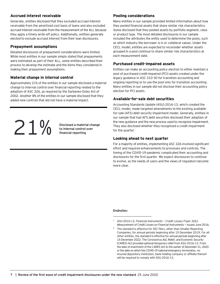# **Accrued interest receivable**

Generally, entities disclosed that they excluded accrued interest receivable from the amortized cost basis of loans and also excluded accrued interest receivable from the measurement of the ALL because they apply a timely write-off policy. Additionally, entities generally elected to exclude accrued interest from their loan disclosures.

# **Prepayment assumptions**

Detailed disclosures of prepayment considerations were limited. While most entities in our sample simply stated that prepayments were estimated as part of their ALL, some entities described their process to develop the estimate and the items they considered in making their prepayment assumptions.

### **Material change in internal control**

Approximately 21% of the entities in our sample disclosed a material change to internal control over financial reporting related to the adoption of ASC 326, as required by the Sarbanes-Oxley Act of 2002. Another 8% of the entities in our sample disclosed that they added new controls that did not have a material impact.

**1 h**<br>**b** internal control over<br>**financial reporting** 

**Disclosed a material change** 

# **Pooling considerations**

Many entities in our sample provided limited information about how they pooled financial assets that share similar risk characteristics. Some disclosed that they pooled assets by portfolio segment, class or product type. The most detailed disclosures in our sample included the attributes the entity used to determine the pools, such as which industry the borrower is in or collateral values. Under the CECL model, entities are expected to reconsider whether assets grouped in a pool continue to share similar risk characteristics at each measurement date.

# **Purchased credit-impaired assets**

Entities can make an accounting policy election to either maintain a pool of purchased credit-impaired (PCI) assets created under the legacy guidance in ASC 310-30 for transition accounting and ongoing reporting or to use the pool only for transition accounting. Many entities in our sample did not disclose their accounting policy election for PCI assets.

# **Available-for-sale debt securities**

Accounting Standards Update (ASU) 2016-13, which created the CECL model, made targeted amendments to the existing availablefor-sale (AFS) debt security impairment model. Generally, entities in our sample that had AFS debt securities disclosed their adoption of the new guidance and the new process used to recognize impairment. They also disclosed whether they recognized a credit impairment for the quarter.

# **Looking ahead to next quarter**

For a majority of entities, implementing ASC 326 involved significant effort and required enhancements to processes and controls. The timing of the COVID-19 pandemic complicated their accounting and disclosures for the first quarter. We expect disclosures to continue to evolve, as the needs of users and the views of regulators become more clear.

#### **Endnotes:**

 $\_$ 

<sup>2</sup> The standard is effective for SEC filers, other than Smaller Reporting Companies, for annual periods beginning after 15 December 2019. For all other entities, the standard is effective for annual periods beginning after 15 December 2022. The Coronavirus Aid, Relief, and Economic Security (CARES) Act provided optional temporary relief from ASU 2016-13. From the date of enactment of the CARES Act to the earlier of December 31, 2020 or the date on which the COVID-19 national emergency terminates, no insured depository institution, bank holding company or affiliate thereof will be required to comply with ASU 2016-13.

<sup>1</sup> ASU 2016-13, *Financial Instruments — Credit Losses (Topic 326): Measurement of Credit Losses on Financial Instruments —* issued June 2016.